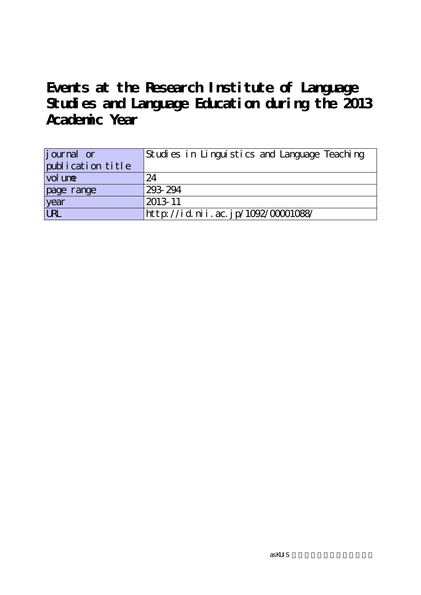**Events at the Research Institute of Language Studies and Language Education during the 2013 Academic Year**

| journal or<br>publication title | Studies in Linguistics and Language Teaching |
|---------------------------------|----------------------------------------------|
| vol une                         | 24                                           |
| page range                      | 293-294                                      |
| year<br>URL                     | $2013 - 11$                                  |
|                                 | http://id.nii.ac.jp/1092/00001088/           |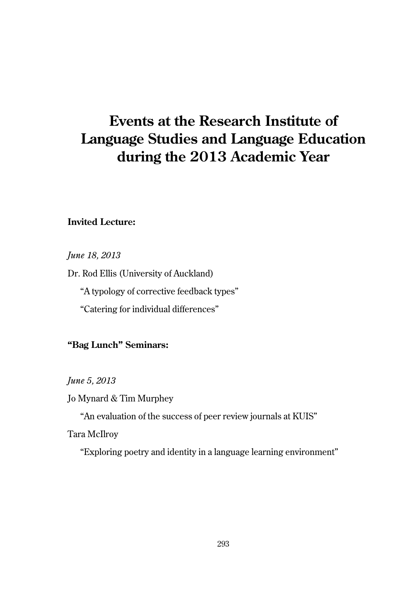# **Events at the Research Institute of Language Studies and Language Education during the 2013 Academic Year**

## **Invited Lecture:**

*June 18, 2013*

Dr. Rod Ellis (University of Auckland)

"A typology of corrective feedback types"

"Catering for individual differences"

## **"Bag Lunch" Seminars:**

*June 5, 2013*

Jo Mynard & Tim Murphey

"An evaluation of the success of peer review journals at KUIS"

Tara McIlroy

"Exploring poetry and identity in a language learning environment"